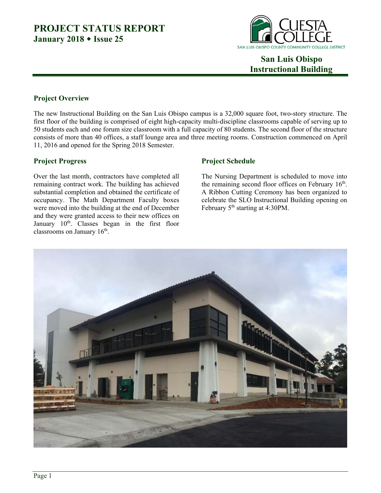

 **San Luis Obispo Instructional Building** 

### **Project Overview**

The new Instructional Building on the San Luis Obispo campus is a 32,000 square foot, two-story structure. The first floor of the building is comprised of eight high-capacity multi-discipline classrooms capable of serving up to 50 students each and one forum size classroom with a full capacity of 80 students. The second floor of the structure consists of more than 40 offices, a staff lounge area and three meeting rooms. Construction commenced on April 11, 2016 and opened for the Spring 2018 Semester.

### **Project Progress**

Over the last month, contractors have completed all remaining contract work. The building has achieved substantial completion and obtained the certificate of occupancy. The Math Department Faculty boxes were moved into the building at the end of December and they were granted access to their new offices on January  $10^{th}$ . Classes began in the first floor classrooms on January  $16<sup>th</sup>$ .

### **Project Schedule**

The Nursing Department is scheduled to move into the remaining second floor offices on February  $16<sup>th</sup>$ . A Ribbon Cutting Ceremony has been organized to celebrate the SLO Instructional Building opening on February 5<sup>th</sup> starting at 4:30PM.

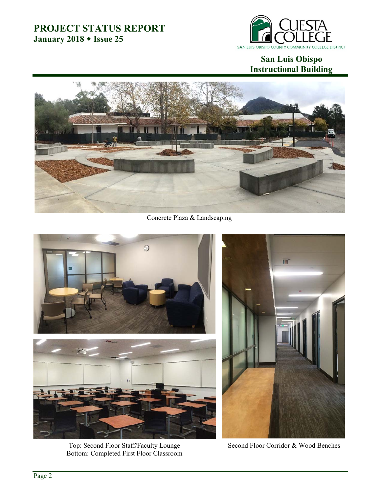

### **San Luis Obispo Instructional Building**



Concrete Plaza & Landscaping



Top: Second Floor Staff/Faculty Lounge Bottom: Completed First Floor Classroom

Second Floor Corridor & Wood Benches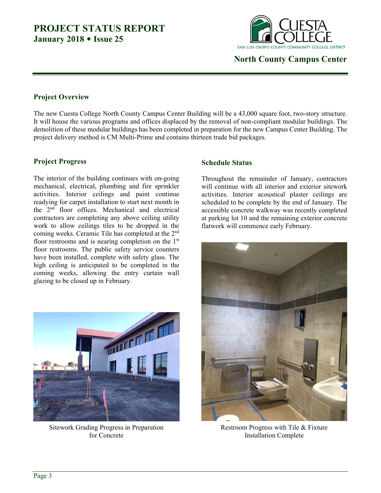

 **North County Campus Center** 

#### **Project Overview**

The new Cuesta College North County Campus Center Building will be a 43,000 square foot, two-story structure. It will house the various programs and offices displaced by the removal of non-compliant modular buildings. The demolition of these modular buildings has been completed in preparation for the new Campus Center Building. The project delivery method is CM Multi-Prime and contains thirteen trade bid packages.

### **Project Progress**

The interior of the building continues with on-going mechanical, electrical, plumbing and fire sprinkler activities. Interior ceilings and paint continue readying for carpet installation to start next month in the 2nd floor offices. Mechanical and electrical contractors are completing any above ceiling utility work to allow ceilings tiles to be dropped in the coming weeks. Ceramic Tile has completed at the 2<sup>nd</sup> floor restrooms and is nearing completion on the  $1<sup>st</sup>$ floor restrooms. The public safety service counters have been installed, complete with safety glass. The high ceiling is anticipated to be completed in the coming weeks, allowing the entry curtain wall glazing to be closed up in February.



Sitework Grading Progress in Preparation for Concrete

#### **Schedule Status**

Throughout the remainder of January, contractors will continue with all interior and exterior sitework activities. Interior acoustical plaster ceilings are scheduled to be complete by the end of January. The accessible concrete walkway was recently completed at parking lot 10 and the remaining exterior concrete flatwork will commence early February.



Restroom Progress with Tile & Fixture Installation Complete